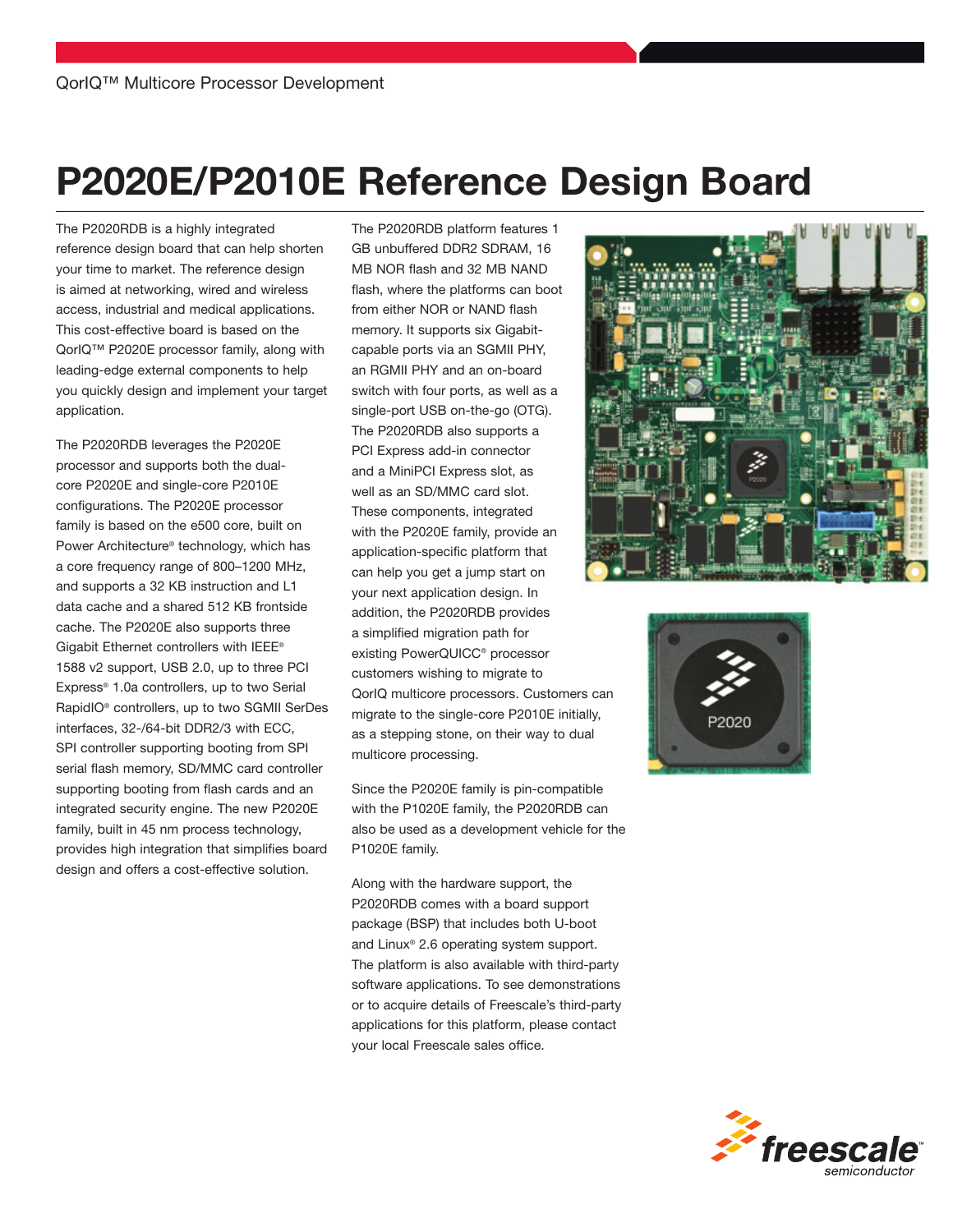# P2020E/P2010E Reference Design Board

The P2020RDB is a highly integrated reference design board that can help shorten your time to market. The reference design is aimed at networking, wired and wireless access, industrial and medical applications. This cost-effective board is based on the QorIQ<sup>™</sup> P2020E processor family, along with leading-edge external components to help you quickly design and implement your target application.

The P2020RDB leverages the P2020E processor and supports both the dualcore P2020E and single-core P2010E configurations. The P2020E processor family is based on the e500 core, built on Power Architecture® technology, which has a core frequency range of 800–1200 MHz, and supports a 32 KB instruction and L1 data cache and a shared 512 KB frontside cache. The P2020E also supports three Gigabit Ethernet controllers with IEEE® 1588 v2 support, USB 2.0, up to three PCI Express® 1.0a controllers, up to two Serial RapidIO® controllers, up to two SGMII SerDes interfaces, 32-/64-bit DDR2/3 with ECC, SPI controller supporting booting from SPI serial flash memory, SD/MMC card controller supporting booting from flash cards and an integrated security engine. The new P2020E family, built in 45 nm process technology, provides high integration that simplifies board design and offers a cost-effective solution.

The P2020RDB platform features 1 GB unbuffered DDR2 SDRAM, 16 MB NOR flash and 32 MB NAND flash, where the platforms can boot from either NOR or NAND flash memory. It supports six Gigabitcapable ports via an SGMII PHY, an RGMII PHY and an on-board switch with four ports, as well as a single-port USB on-the-go (OTG). The P2020RDB also supports a PCI Express add-in connector and a MiniPCI Express slot, as well as an SD/MMC card slot. These components, integrated with the P2020E family, provide an application-specific platform that can help you get a jump start on your next application design. In addition, the P2020RDB provides a simplified migration path for existing PowerQUICC® processor customers wishing to migrate to QorIQ multicore processors. Customers can migrate to the single-core P2010E initially, as a stepping stone, on their way to dual multicore processing.

Since the P2020E family is pin-compatible with the P1020E family, the P2020RDB can also be used as a development vehicle for the P1020E family.

Along with the hardware support, the P2020RDB comes with a board support package (BSP) that includes both U-boot and Linux® 2.6 operating system support. The platform is also available with third-party software applications. To see demonstrations or to acquire details of Freescale's third-party applications for this platform, please contact your local Freescale sales office.